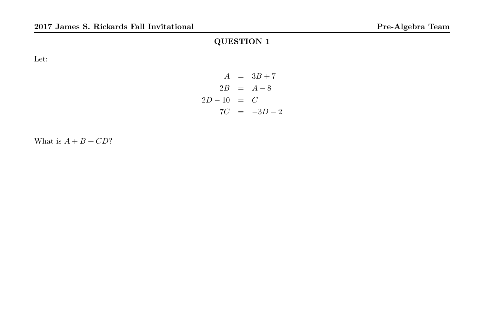Let:

$$
A = 3B + 7
$$
  
\n
$$
2B = A - 8
$$
  
\n
$$
2D - 10 = C
$$
  
\n
$$
7C = -3D - 2
$$

What is  $A + B + CD$ ?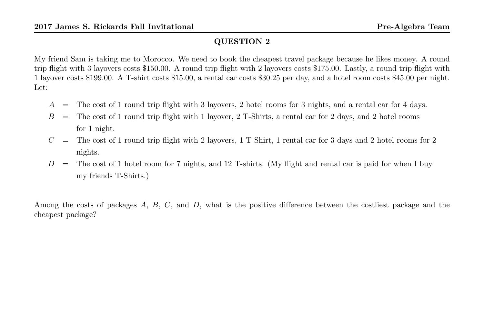My friend Sam is taking me to Morocco. We need to book the cheapest travel package because he likes money. A round trip flight with 3 layovers costs \$150.00. A round trip flight with 2 layovers costs \$175.00. Lastly, a round trip flight with 1 layover costs \$199.00. A T-shirt costs \$15.00, a rental car costs \$30.25 per day, and a hotel room costs \$45.00 per night. Let:

- $A =$  The cost of 1 round trip flight with 3 layovers, 2 hotel rooms for 3 nights, and a rental car for 4 days.
- $B =$  The cost of 1 round trip flight with 1 layover, 2 T-Shirts, a rental car for 2 days, and 2 hotel rooms for 1 night.
- $C =$  The cost of 1 round trip flight with 2 layovers, 1 T-Shirt, 1 rental car for 3 days and 2 hotel rooms for 2 nights.
- $D =$  The cost of 1 hotel room for 7 nights, and 12 T-shirts. (My flight and rental car is paid for when I buy my friends T-Shirts.)

Among the costs of packages A, B, C, and D, what is the positive difference between the costliest package and the cheapest package?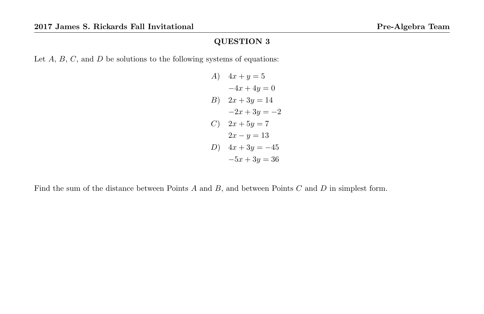Let  $A, B, C$ , and  $D$  be solutions to the following systems of equations:

A) 
$$
4x + y = 5
$$
  
\t $-4x + 4y = 0$   
\t $B$ )  $2x + 3y = 14$   
\t $-2x + 3y = -2$   
C)  $2x + 5y = 7$   
\t $2x - y = 13$   
\t $D$ )  $4x + 3y = -45$   
\t $-5x + 3y = 36$ 

Find the sum of the distance between Points  $A$  and  $B$ , and between Points  $C$  and  $D$  in simplest form.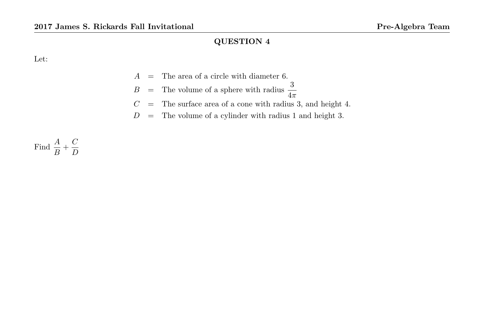Let:

- $A =$ The area of a circle with diameter 6.
- $B =$  The volume of a sphere with radius  $\frac{3}{4\pi}$
- $C =$  The surface area of a cone with radius 3, and height 4.
- $D =$  The volume of a cylinder with radius 1 and height 3.

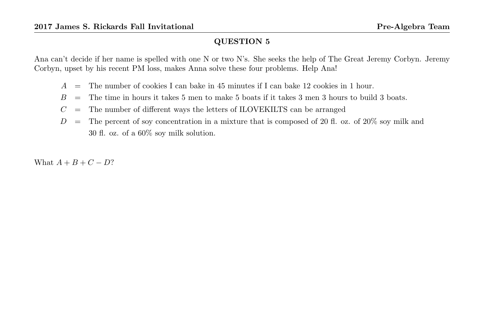Ana can't decide if her name is spelled with one N or two N's. She seeks the help of The Great Jeremy Corbyn. Jeremy Corbyn, upset by his recent PM loss, makes Anna solve these four problems. Help Ana!

- $A =$  The number of cookies I can bake in 45 minutes if I can bake 12 cookies in 1 hour.
- $B =$  The time in hours it takes 5 men to make 5 boats if it takes 3 men 3 hours to build 3 boats.
- $C =$  The number of different ways the letters of ILOVEKILTS can be arranged
- $D =$  The percent of soy concentration in a mixture that is composed of 20 fl. oz. of 20% soy milk and 30 fl. oz. of a 60% soy milk solution.

What  $A + B + C - D?$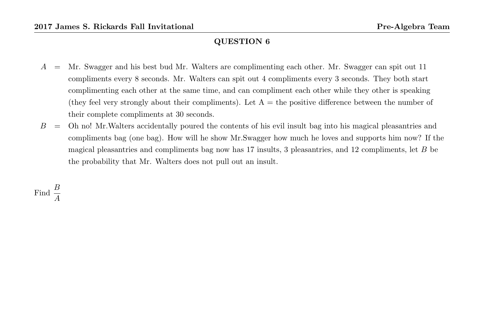- A = Mr. Swagger and his best bud Mr. Walters are complimenting each other. Mr. Swagger can spit out 11 compliments every 8 seconds. Mr. Walters can spit out 4 compliments every 3 seconds. They both start complimenting each other at the same time, and can compliment each other while they other is speaking (they feel very strongly about their compliments). Let  $A =$  the positive difference between the number of their complete compliments at 30 seconds.
- $B =$  Oh no! Mr. Walters accidentally poured the contents of his evil insult bag into his magical pleasantries and compliments bag (one bag). How will he show Mr.Swagger how much he loves and supports him now? If the magical pleasantries and compliments bag now has 17 insults, 3 pleasantries, and 12 compliments, let B be the probability that Mr. Walters does not pull out an insult.

Find  $\frac{B}{A}$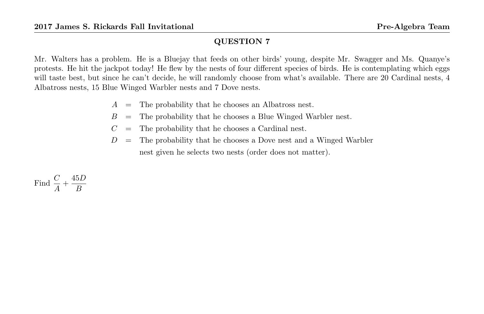Mr. Walters has a problem. He is a Bluejay that feeds on other birds' young, despite Mr. Swagger and Ms. Quanye's protests. He hit the jackpot today! He flew by the nests of four different species of birds. He is contemplating which eggs will taste best, but since he can't decide, he will randomly choose from what's available. There are 20 Cardinal nests, 4 Albatross nests, 15 Blue Winged Warbler nests and 7 Dove nests.

- $A =$  The probability that he chooses an Albatross nest.
- $B =$  The probability that he chooses a Blue Winged Warbler nest.
- $C =$  The probability that he chooses a Cardinal nest.
- $D =$  The probability that he chooses a Dove nest and a Winged Warbler nest given he selects two nests (order does not matter).

Find 
$$
\frac{C}{A} + \frac{45D}{B}
$$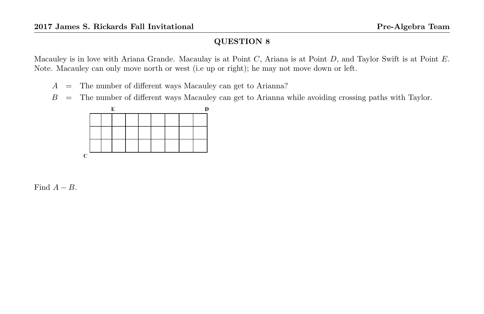Macauley is in love with Ariana Grande. Macaulay is at Point C, Ariana is at Point D, and Taylor Swift is at Point E. Note. Macauley can only move north or west (i.e up or right); he may not move down or left.

- A = The number of different ways Macauley can get to Arianna?
- $B =$  The number of different ways Macauley can get to Arianna while avoiding crossing paths with Taylor.



Find  $A - B$ .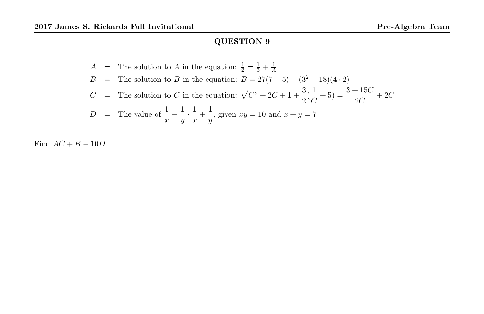$$
A = \text{The solution to } A \text{ in the equation: } \frac{1}{2} = \frac{1}{3} + \frac{1}{A}
$$
\n
$$
B = \text{The solution to } B \text{ in the equation: } B = 27(7+5) + (3^2 + 18)(4 \cdot 2)
$$
\n
$$
C = \text{The solution to } C \text{ in the equation: } \sqrt{C^2 + 2C + 1} + \frac{3}{2}(\frac{1}{C} + 5) = \frac{3 + 15C}{2C} + 2C
$$
\n
$$
D = \text{The value of } \frac{1}{x} + \frac{1}{y} \cdot \frac{1}{x} + \frac{1}{y}, \text{ given } xy = 10 \text{ and } x + y = 7
$$

Find  $AC + B - 10D$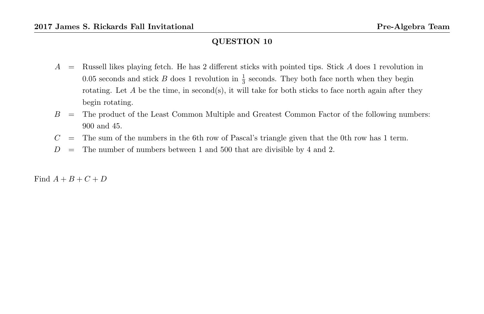- $A =$  Russell likes playing fetch. He has 2 different sticks with pointed tips. Stick A does 1 revolution in 0.05 seconds and stick B does 1 revolution in  $\frac{1}{3}$  seconds. They both face north when they begin rotating. Let  $A$  be the time, in second(s), it will take for both sticks to face north again after they begin rotating.
- $B =$  The product of the Least Common Multiple and Greatest Common Factor of the following numbers: 900 and 45.
- $C =$  The sum of the numbers in the 6th row of Pascal's triangle given that the 0th row has 1 term.
- $D =$  The number of numbers between 1 and 500 that are divisible by 4 and 2.

Find  $A + B + C + D$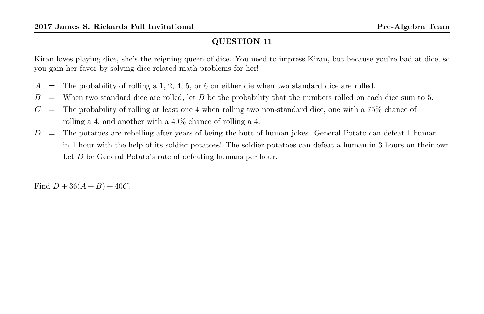Kiran loves playing dice, she's the reigning queen of dice. You need to impress Kiran, but because you're bad at dice, so you gain her favor by solving dice related math problems for her!

- $A =$  The probability of rolling a 1, 2, 4, 5, or 6 on either die when two standard dice are rolled.
- $B =$  When two standard dice are rolled, let B be the probability that the numbers rolled on each dice sum to 5.
- $C =$  The probability of rolling at least one 4 when rolling two non-standard dice, one with a 75% chance of rolling a 4, and another with a 40% chance of rolling a 4.
- $D =$  The potatoes are rebelling after years of being the butt of human jokes. General Potato can defeat 1 human in 1 hour with the help of its soldier potatoes! The soldier potatoes can defeat a human in 3 hours on their own. Let D be General Potato's rate of defeating humans per hour.

Find  $D + 36(A + B) + 40C$ .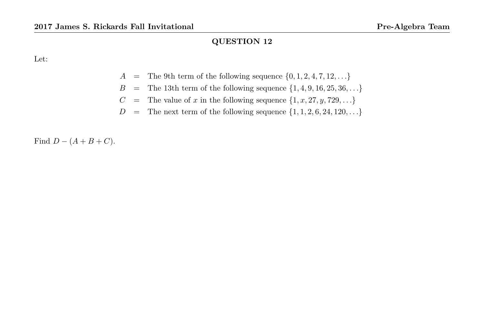Let:

- $A =$  The 9th term of the following sequence  $\{0, 1, 2, 4, 7, 12, \ldots\}$
- $B = \text{The 13th term of the following sequence } \{1,4,9,16,25,36,\ldots\}$
- $C =$  The value of x in the following sequence  $\{1, x, 27, y, 729, \ldots\}$
- $D =$  The next term of the following sequence  $\{1, 1, 2, 6, 24, 120, \ldots\}$

Find  $D - (A + B + C)$ .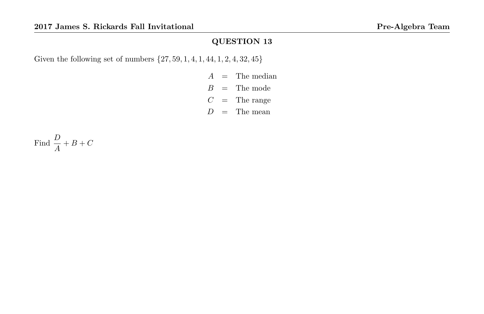Given the following set of numbers {27, 59, 1, 4, 1, 44, 1, 2, 4, 32, 45}

- $A =$ The median  $B =$ The mode
- $C =$ The range
- $D =$ The mean

Find  $\frac{D}{A} + B + C$